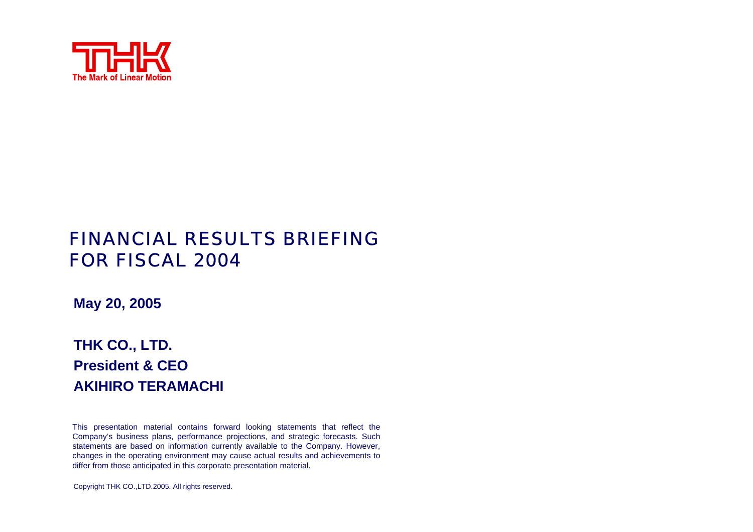

# FINANCIAL RESULTS BRIEFING FOR FISCAL 2004

**May 20, 2005**

# **THK CO., LTD. President & CEOAKIHIRO TERAMACHI**

This presentation material contains for ward looking statements that reflect the Company's business plans, performance projections, and strategic forecasts. Such statements are based on information currently available to the Company. Ho wever, changes in the operating environment may cause actual results and achievements to differ from those anticipated in this corporate presentation material.

Copyright THK CO.,LTD.2005. All rights reserved.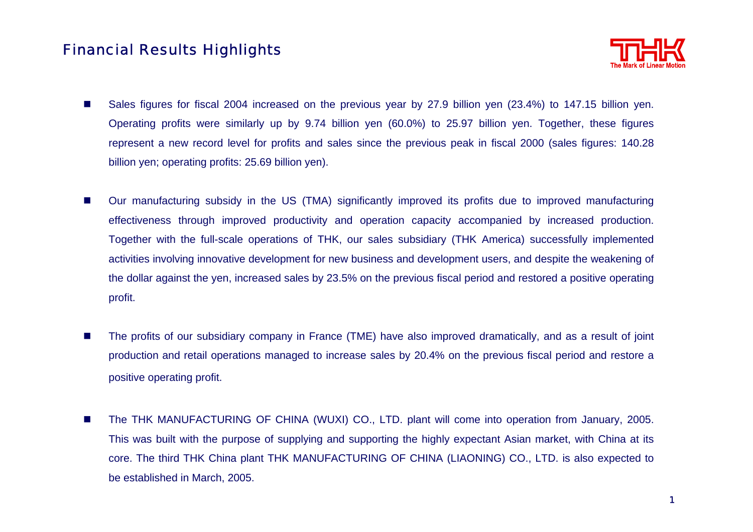## Financial Results Highlights



- $\mathcal{L}_{\mathcal{A}}$  Sales figures for fiscal 2004 increased on the previous year by 27.9 billion yen (23.4%) to 147.15 billion yen. Operating profits were similarly up by 9.74 billion yen (60.0%) to 25.97 billion yen. Together, these figures represent a new record level for profits and sales since the previous peak in fiscal 2000 (sales figures: 140.28 billion yen; operating profits: 25.69 billion yen).
- $\mathcal{L}_{\mathcal{A}}$  Our manufacturing subsidy in the US (TMA) significantly improved its profits due to improved manufacturing effectiveness through improved productivity and operation capacity accompanied by increased production. Together with the full-scale operations of THK, our sales subsidiary (THK America) successfully implemented activities involving innovative development for new business and development users, and despite the weakening of the dollar against the yen, increased sales by 23.5% on the previous fiscal period and restored a positive operating profit.
- П The profits of our subsidiary company in France (TME) have also improved dramatically, and as a result of joint production and retail operations managed to increase sales by 20.4% on the previous fiscal period and restore a positive operating profit.
- $\mathcal{L}_{\mathcal{A}}$  The THK MANUFACTURING OF CHINA (WUXI) CO., LTD. plant will come into operation from January, 2005. This was built with the purpose of supplying and supporting the highly expectant Asian market, with China at its core. The third THK China plant THK MANUFACTURING OF CHINA (LIAONING) CO., LTD. is also expected to be established in March, 2005.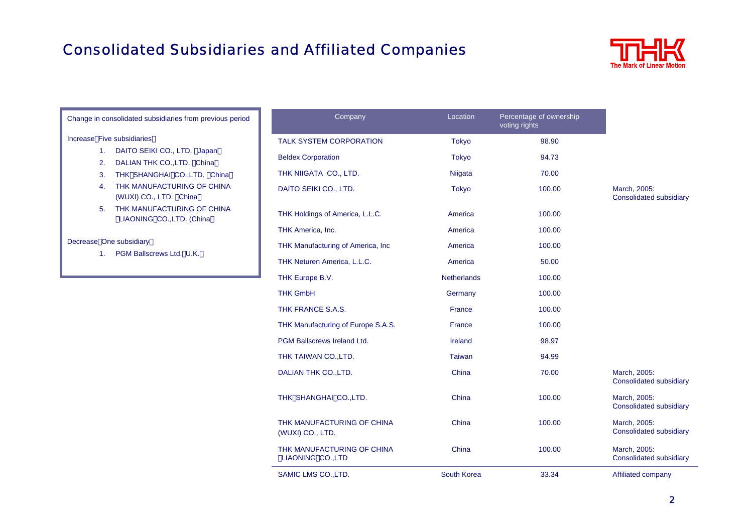# Consolidated Subsidiaries and Affiliated Companies



| Change in consolidated subsidiaries from previous period                                                                                                                                                                                   | Company                                         | Location           | Percentage of ownership<br>voting rights |                                         |
|--------------------------------------------------------------------------------------------------------------------------------------------------------------------------------------------------------------------------------------------|-------------------------------------------------|--------------------|------------------------------------------|-----------------------------------------|
| Increase Five subsidiaries                                                                                                                                                                                                                 | TALK SYSTEM CORPORATION                         | <b>Tokyo</b>       | 98.90                                    |                                         |
| DAITO SEIKI CO., LTD. Japan<br>1.<br>DALIAN THK CO., LTD. China<br>2.<br>THK SHANGHAI CO., LTD. China<br>3.<br>THK MANUFACTURING OF CHINA<br>4.<br>(WUXI) CO., LTD. China<br>THK MANUFACTURING OF CHINA<br>5.<br>LIAONING CO., LTD. (China | <b>Beldex Corporation</b>                       | <b>Tokyo</b>       | 94.73                                    |                                         |
|                                                                                                                                                                                                                                            | THK NIIGATA CO., LTD.                           | Niigata            | 70.00                                    |                                         |
|                                                                                                                                                                                                                                            | DAITO SEIKI CO., LTD.                           | Tokyo              | 100.00                                   | March, 2005:<br>Consolidated subsidiary |
|                                                                                                                                                                                                                                            | THK Holdings of America, L.L.C.                 | America            | 100.00                                   |                                         |
|                                                                                                                                                                                                                                            | THK America, Inc.                               | America            | 100.00                                   |                                         |
| Decrease One subsidiary<br>PGM Ballscrews Ltd. U.K.<br>1.                                                                                                                                                                                  | THK Manufacturing of America, Inc.              | America            | 100.00                                   |                                         |
|                                                                                                                                                                                                                                            | THK Neturen America, L.L.C.                     | America            | 50.00                                    |                                         |
|                                                                                                                                                                                                                                            | THK Europe B.V.                                 | <b>Netherlands</b> | 100.00                                   |                                         |
|                                                                                                                                                                                                                                            | <b>THK GmbH</b>                                 | Germany            | 100.00                                   |                                         |
|                                                                                                                                                                                                                                            | THK FRANCE S.A.S.                               | France             | 100.00                                   |                                         |
|                                                                                                                                                                                                                                            | THK Manufacturing of Europe S.A.S.              | France             | 100.00                                   |                                         |
|                                                                                                                                                                                                                                            | <b>PGM Ballscrews Ireland Ltd.</b>              | Ireland            | 98.97                                    |                                         |
|                                                                                                                                                                                                                                            | THK TAIWAN CO., LTD.                            | Taiwan             | 94.99                                    |                                         |
|                                                                                                                                                                                                                                            | DALIAN THK CO., LTD.                            | China              | 70.00                                    | March, 2005:<br>Consolidated subsidiary |
|                                                                                                                                                                                                                                            | THK SHANGHAI CO., LTD.                          | China              | 100.00                                   | March, 2005:<br>Consolidated subsidiary |
|                                                                                                                                                                                                                                            | THK MANUFACTURING OF CHINA<br>(WUXI) CO., LTD.  | China              | 100.00                                   | March, 2005:<br>Consolidated subsidiary |
|                                                                                                                                                                                                                                            | THK MANUFACTURING OF CHINA<br>LIAONING CO., LTD | China              | 100.00                                   | March, 2005:<br>Consolidated subsidiary |
|                                                                                                                                                                                                                                            | SAMIC LMS CO., LTD.                             | South Korea        | 33.34                                    | Affiliated company                      |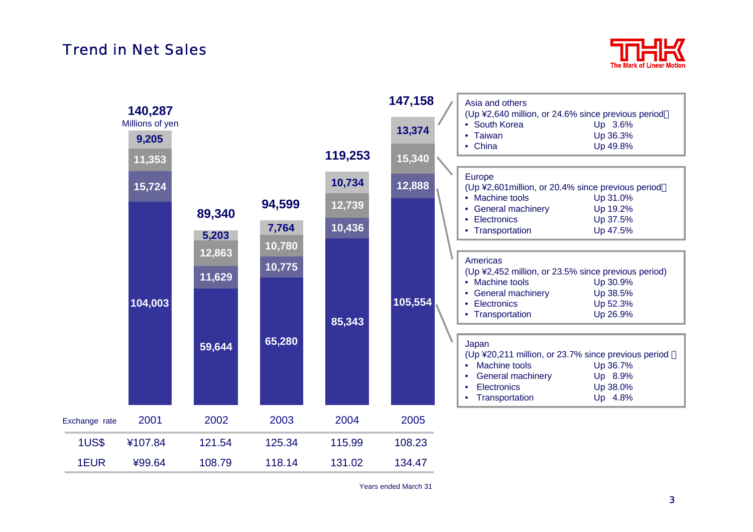#### Trend in Net Sales



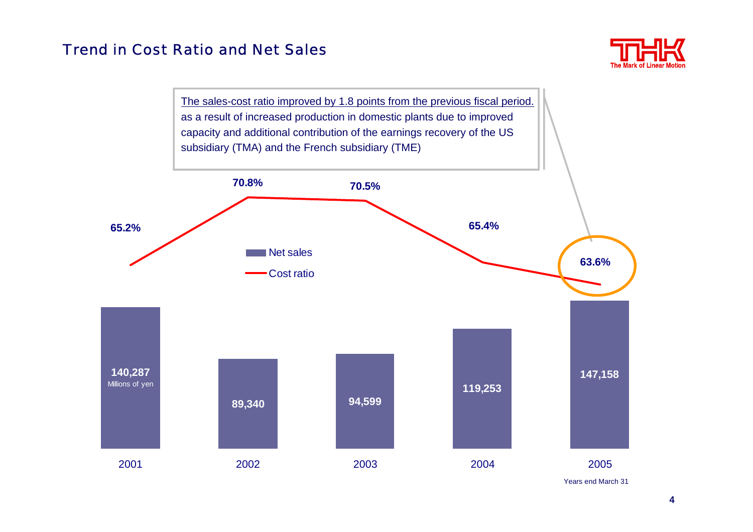### Trend in Cost Ratio and Net Sales



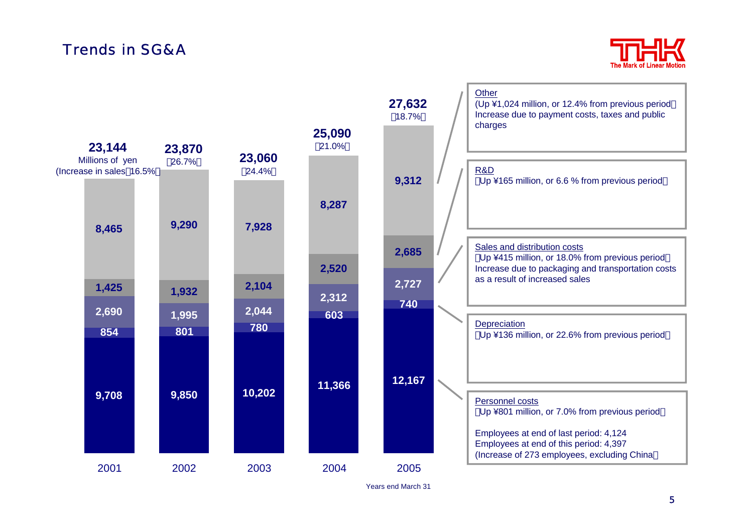# Trends in SG&A



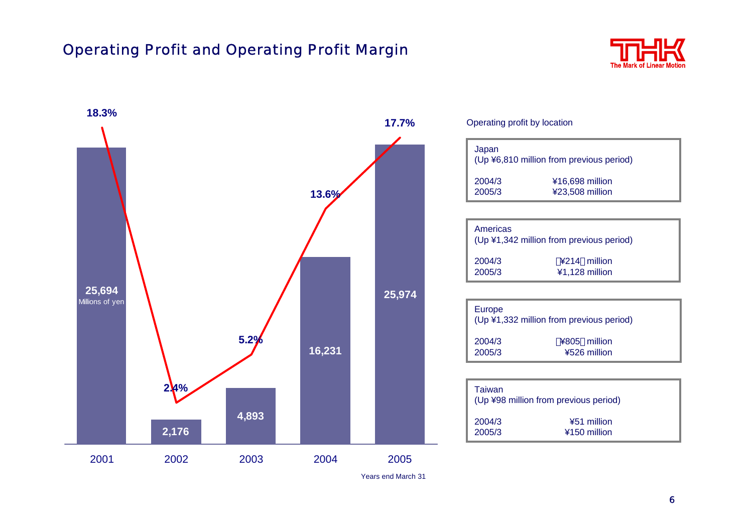## Operating Profit and Operating Profit Margin



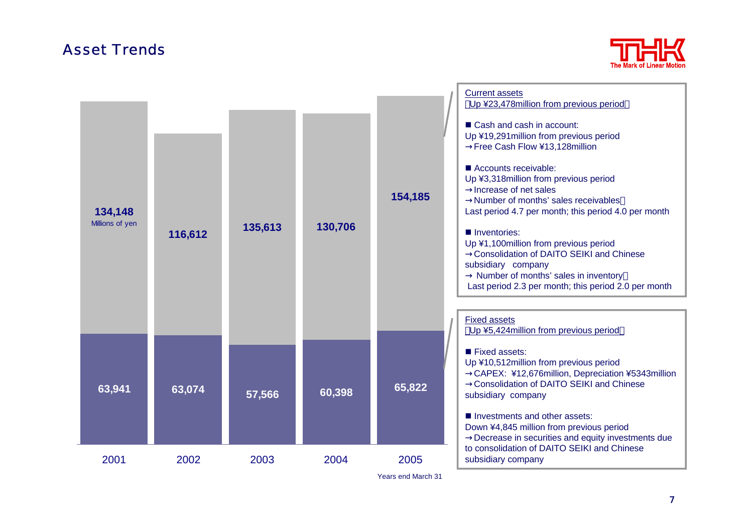### Asset Trends



| 134,148<br>Millions of yen | 116,612 | 135,613 | 130,706 | 154,185                    | <b>Current assets</b><br>Up ¥23,478million from previous period<br>Cash and cash in account:<br>Up ¥19,291 million from previous period<br>Free Cash Flow ¥13,128million<br>Accounts receivable:<br>Up ¥3,318million from previous period<br>Increase of net sales<br>Number of months' sales receivables<br>Last period 4.7 per month; this period 4.0 per month<br>Inventories:<br>Up ¥1,100million from previous period<br><b>Consolidation of DAITO SEIKI and Chinese</b><br>subsidiary company<br>Number of months' sales in inventory<br>Last period 2.3 per month; this period 2.0 per month<br><b>Fixed assets</b> |
|----------------------------|---------|---------|---------|----------------------------|----------------------------------------------------------------------------------------------------------------------------------------------------------------------------------------------------------------------------------------------------------------------------------------------------------------------------------------------------------------------------------------------------------------------------------------------------------------------------------------------------------------------------------------------------------------------------------------------------------------------------|
| 63,941                     | 63,074  | 57,566  | 60,398  | 65,822                     | Up ¥5,424 million from previous period<br>Fixed assets:<br>Up ¥10,512million from previous period<br>CAPEX: ¥12,676million, Depreciation ¥5343million<br><b>Consolidation of DAITO SEIKI and Chinese</b><br>subsidiary company<br>Investments and other assets:<br>Down ¥4,845 million from previous period<br>Decrease in securities and equity investments due                                                                                                                                                                                                                                                           |
| 2001                       | 2002    | 2003    | 2004    | 2005<br>Years end March 31 | to consolidation of DAITO SEIKI and Chinese<br>subsidiary company                                                                                                                                                                                                                                                                                                                                                                                                                                                                                                                                                          |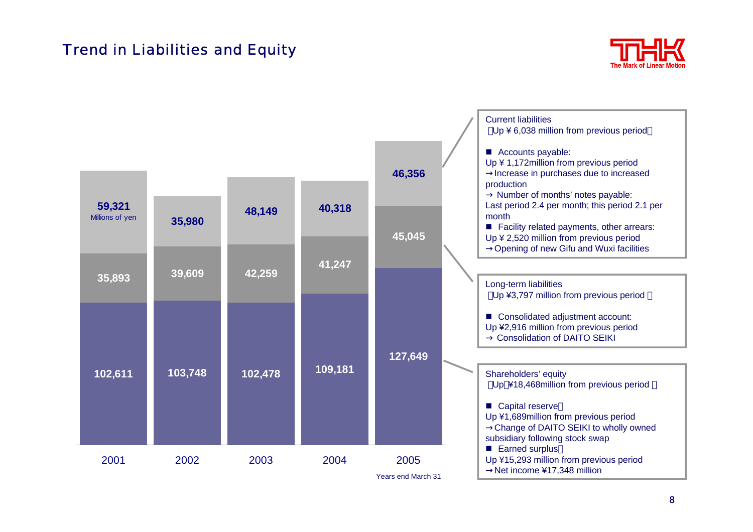## Trend in Liabilities and Equity



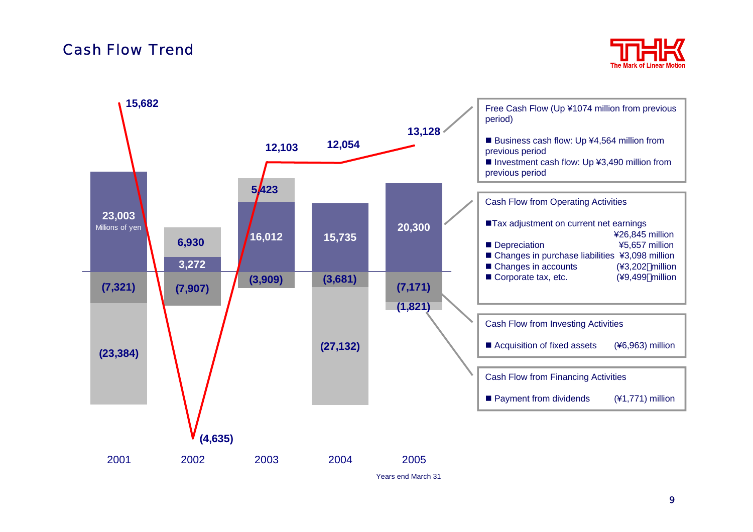#### Cash Flow Trend



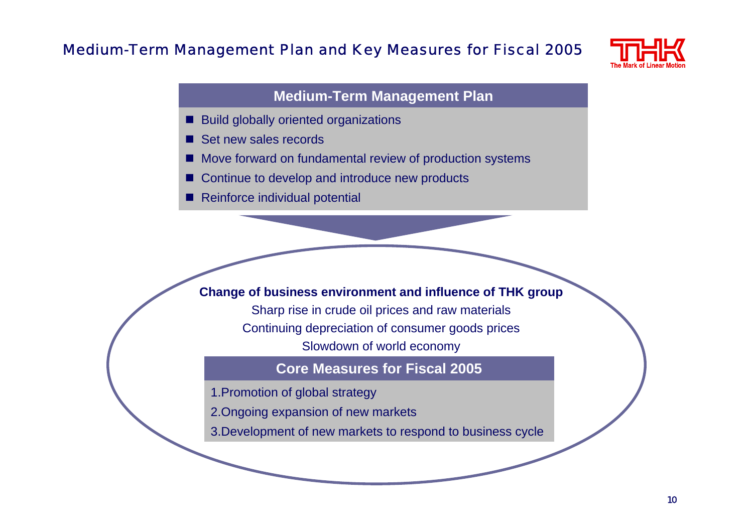#### Medium-Term Management Plan and Key Measures for Fiscal 2005



#### **Medium-Term Management Plan**

- П Build globally oriented organizations
- П Set new sales records
- П Move forward on fundamental review of production systems
- П Continue to develop and introduce new products
- Reinforce individual potential

#### **Change of business environment and influence of THK group**

Sharp rise in crude oil prices and raw materials Continuing depreciation of consumer goods prices Slowdown of world economy

#### **Core Measures for Fiscal 2005**

- 1.Promotion of global strategy
- 2.Ongoing expansion of new markets
- 3.Development of new markets to respond to business cycle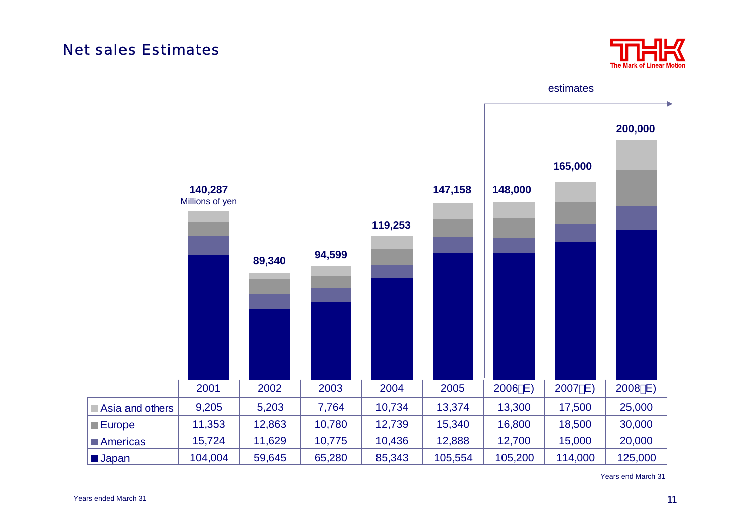#### Net sales Estimates



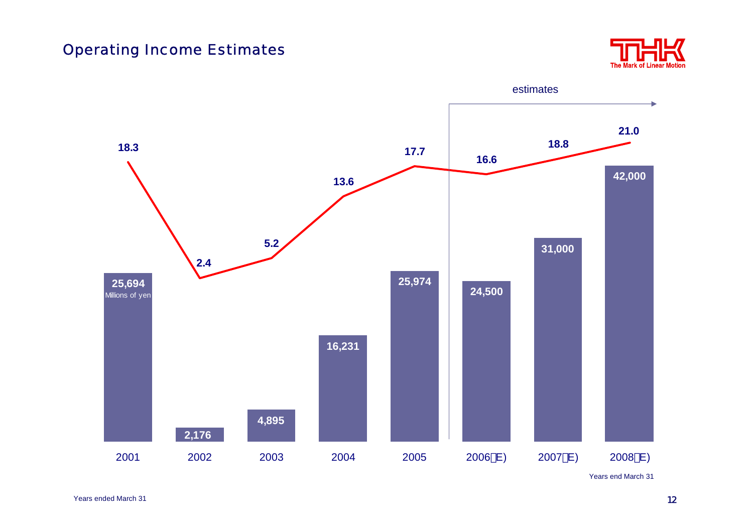### Operating Income Estimates



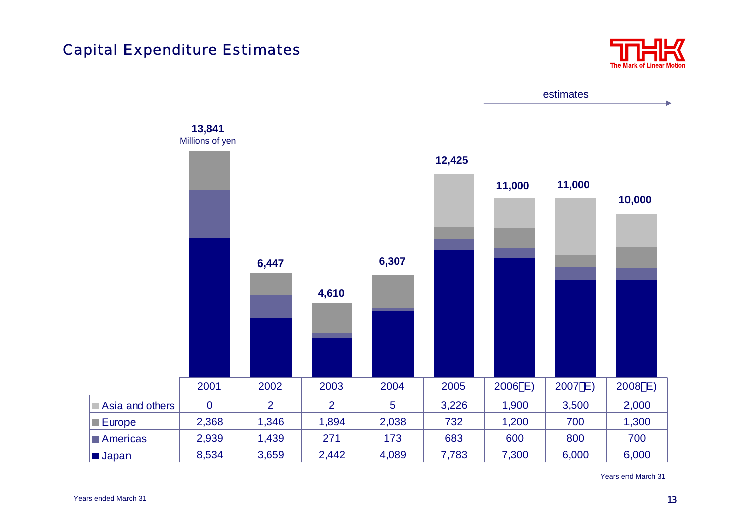#### Capital Expenditure Estimates